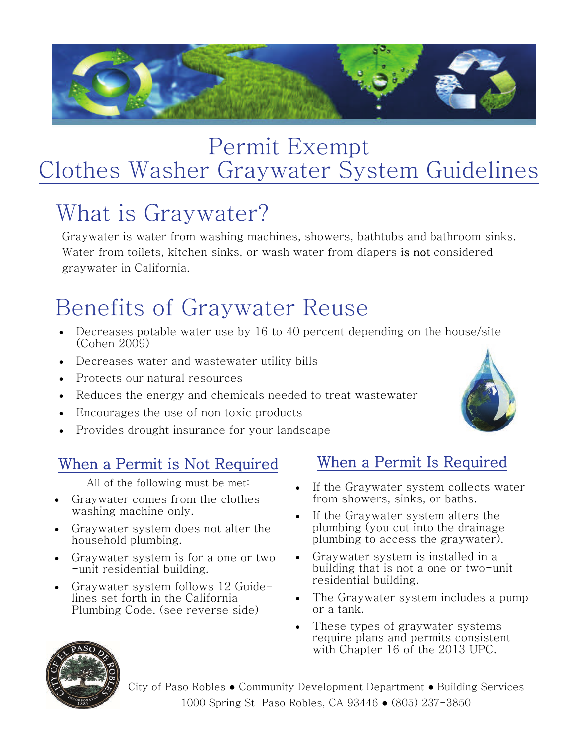

### Permit Exempt Clothes Washer Graywater System Guidelines

# What is Graywater?

Graywater is water from washing machines, showers, bathtubs and bathroom sinks. Water from toilets, kitchen sinks, or wash water from diapers is not considered graywater in California.

## Benefits of Graywater Reuse

- Decreases potable water use by 16 to 40 percent depending on the house/site (Cohen 2009)
- Decreases water and wastewater utility bills
- Protects our natural resources
- Reduces the energy and chemicals needed to treat wastewater
- Encourages the use of non toxic products
- Provides drought insurance for your landscape

### When a Permit is Not Required

All of the following must be met:

- Graywater comes from the clothes washing machine only.
- Graywater system does not alter the household plumbing.
- Graywater system is for a one or two -unit residential building.
- Graywater system follows 12 Guidelines set forth in the California Plumbing Code. (see reverse side)

#### When a Permit Is Required

- If the Graywater system collects water from showers, sinks, or baths.
- If the Graywater system alters the plumbing (you cut into the drainage plumbing to access the graywater).
- Graywater system is installed in a building that is not a one or two-unit residential building.
- The Graywater system includes a pump or a tank.
- These types of graywater systems require plans and permits consistent with Chapter 16 of the 2013 UPC.



City of Paso Robles ● Community Development Department ● Building Services 1000 Spring St Paso Robles, CA 93446 ● (805) 237-3850